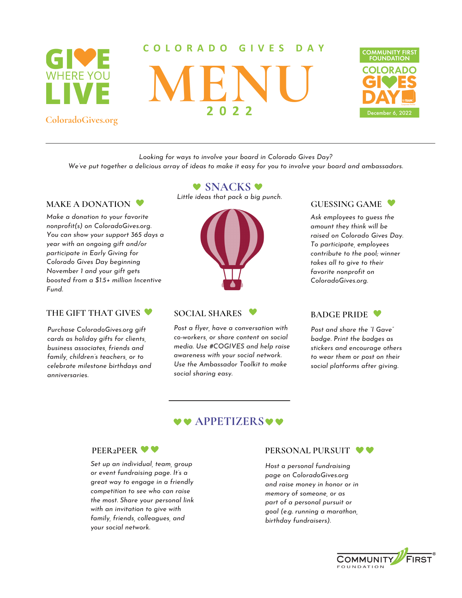

**ColoradoGives.org**

#### **C O L O R A D O G I V E S D A Y**

**MENU 2 0 2 2**



*Looking for ways to involve your board in Colorado Gives Day?*

We've put together a delicious array of ideas to make it easy for you to involve your board and ambassadors.

#### **MAKE A DONATION**

*Make a donation to your favorite nonprofit(s) on ColoradoGives.org. You can show your support 365 days a year with an ongoing gift and/or participate in Early Giving for Colorado Gives Day beginning November 1 and your gift gets boosted from a \$1.5+ million Incentive Fund.*

### **THE GIFT THAT GIVES SOCIAL SHARES**

*Purchase ColoradoGives.org gift cards as holiday gifts for clients, business associates, friends and family, children's teachers, or to celebrate milestone birthdays and anniversaries.*

# **V SNACKS V**

*Little ideas that pack a big punch.*



*Post a flyer, have a conversation with co-workers, or share content on social media. Use #COGIVES and help raise awareness with your social network. Use the [Ambassador](https://communityfirstfoundation.org/colorado-gives-day-toolkit/ambassador-donor-toolkit/) Toolkit to make social sharing easy.*

# **GUESSING GAME**

*Ask employees to guess the amount they think will be raised on Colorado Gives Day. To participate, employees contribute to the pool; winner takes all to give to their favorite nonprofit on ColoradoGives.org.*

# **BADGE PRIDE**

*Post and share the "I Gave" badge. Print the badges as stickers and encourage others to wear them or post on their social platforms after giving.*

# **V & APPETIZERS**



*Set up an individual, team, group or event fundraising page. It's a great way to engage in a friendly competition to see who can raise the most. Share your personal link with an invitation to give with family, friends, colleagues, and your social network.*

#### **PERSONAL PURSUIT**  $\bullet$

*Host a personal fundraising page on ColoradoGives.org and raise money in honor or in memory of someone, or as part of a personal pursuit or goal (e.g. running a marathon, birthday fundraisers).*

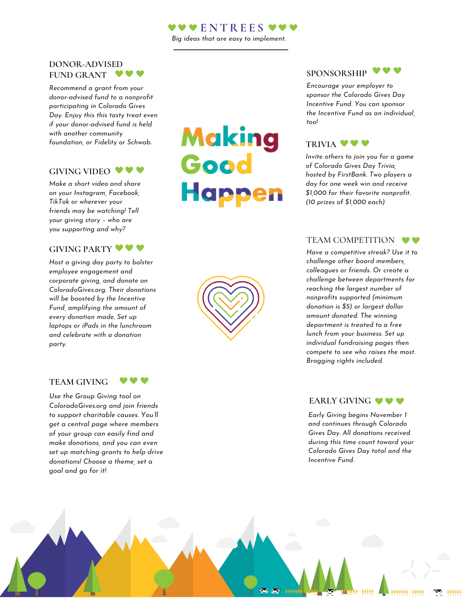# **E N TRE E S**

*Big ideas that are easy to implement.*

#### **DONOR-ADVISED FUND GRANT**

*Recommend a grant from your [donor-advised](https://communityfirstfoundation.org/donor-advised-funds-connect-with-nonprofits/) fund to a nonprofit participating in Colorado Gives Day. Enjoy this this tasty treat even if your donor-advised fund is held with another community foundation, or Fidelity or Schwab.*

#### **GIVING VIDEO**

*Make a short video and share on your Instagram, Facebook, TikTok or wherever your friends may be watching! Tell your giving story – who are you supporting and why?*

# **GIVING PARTY**

*Host a giving day party to bolster employee engagement and corporate giving, and donate on ColoradoGives.org. Their donations will be boosted by the Incentive Fund, amplifying the amount of every donation made. Set up laptops or iPads in the lunchroom and celebrate with a donation party.*

#### **TEAM GIVING**

*Use the Group Giving tool on ColoradoGives.org and join friends to support charitable causes. You'll get a central page where members of your group can easily find and make donations, and you can even set up matching grants to help drive donations! Choose a theme, set a goal and go for it!*

**VVV** 

# Making Good **Happen**



*Encourage your employer to sponsor the [Colorado](https://www.coloradogives.org/incentive) Gives Day Incentive Fund. You can sponsor the Incentive Fund as an individual, too!*

# **TRIVIA**  $\blacktriangledown$

*Invite others to join you for a game of Colorado Gives Day Trivia, hosted by FirstBank. Two players a day for one week win and receive \$1,000 for their favorite nonprofit. (10 prizes of \$1,000 each)*

# TEAM COMPETITION  $\bullet \bullet$

*Have a competitive streak? Use it to challenge other board members, colleagues or friends. Or create a challenge between departments for reaching the largest number of nonprofits supported (minimum donation is \$5) or largest dollar amount donated. The winning department is treated to a free lunch from your business. Set up individual fundraising pages then compete to see who raises the most. Bragging rights included.*

# **EARLY GIVING**  $\bullet \bullet \bullet$

*Early Giving begins November 1 and continues through Colorado Gives Day. All donations received during this time count toward your Colorado Gives Day total and the Incentive Fund.*